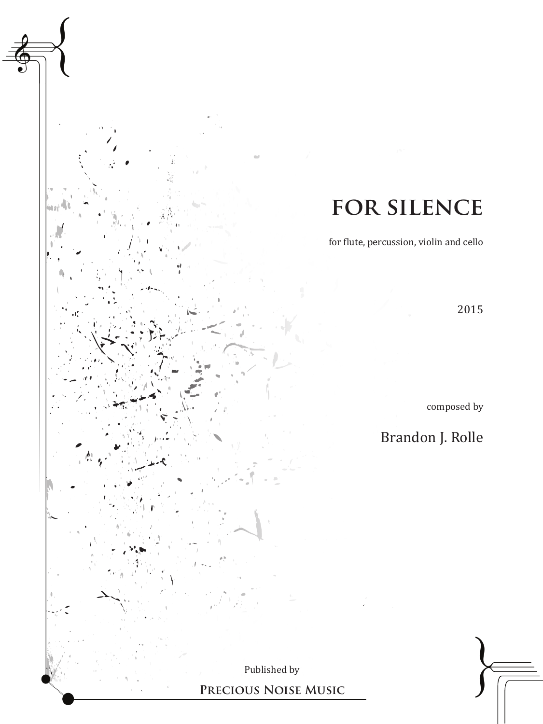for flute, percussion, violin and cello

2015

composed by

Brandon J. Rolle

 $\bigcirc$ 

 $\sqrt{ }$ 

Published by<br> **PRECIOUS NOISE MUSIC**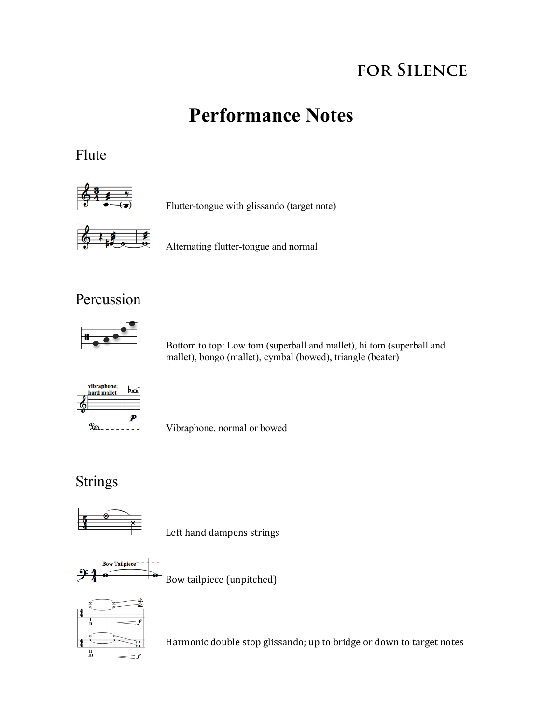## **Performance Notes**

#### Flute



Flutter-tongue with glissando (target note)



Alternating flutter-tongue and normal

### Percussion



Bottom to top: Low tom (superball and mallet), hi tom (superball and mallet), bongo (mallet), cymbal (bowed), triangle (beater)



Vibraphone, normal or bowed

#### Strings



Left hand dampens strings





Harmonic double stop glissando; up to bridge or down to target notes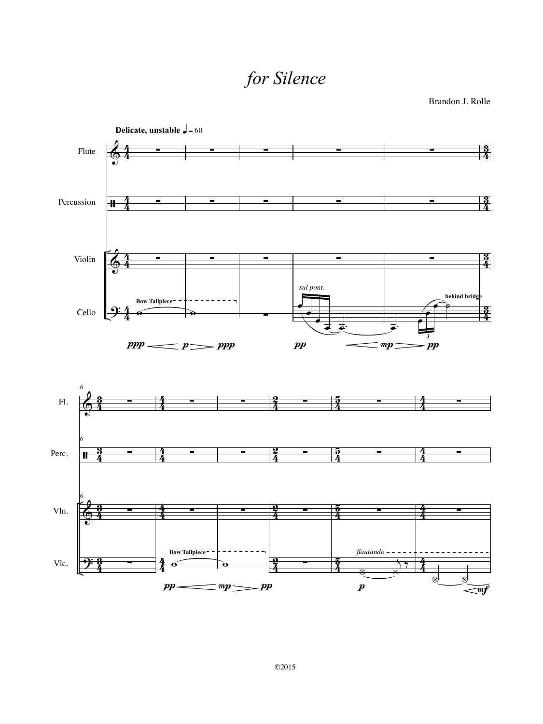*for Silence*

Brandon J. Rolle

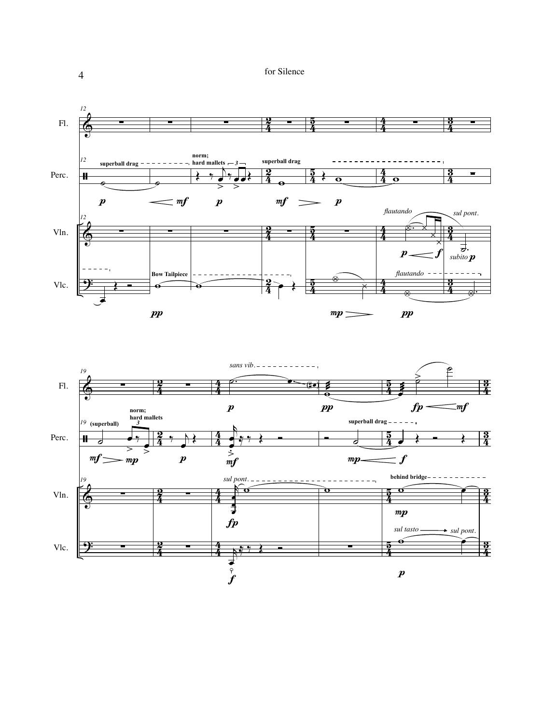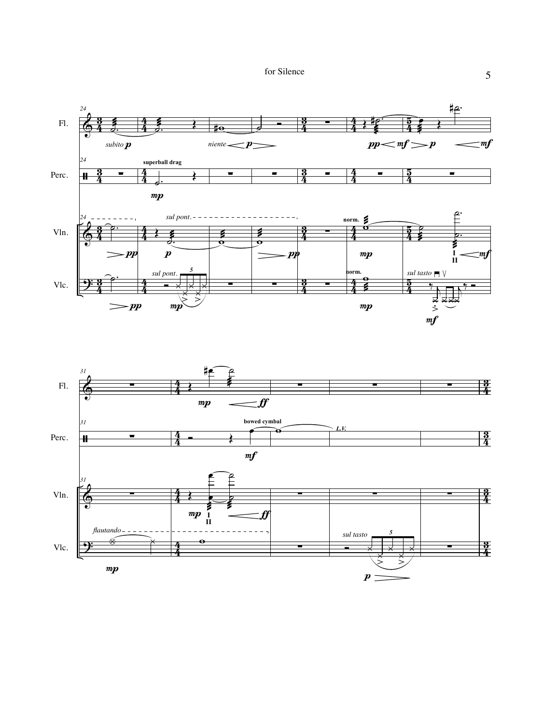

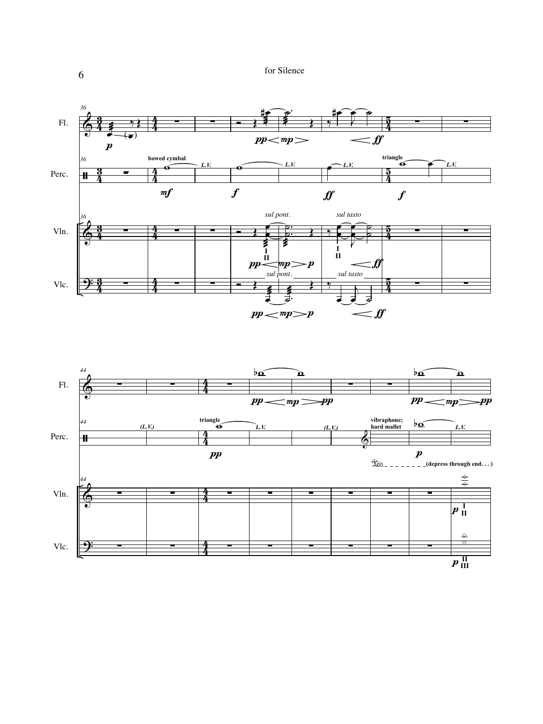

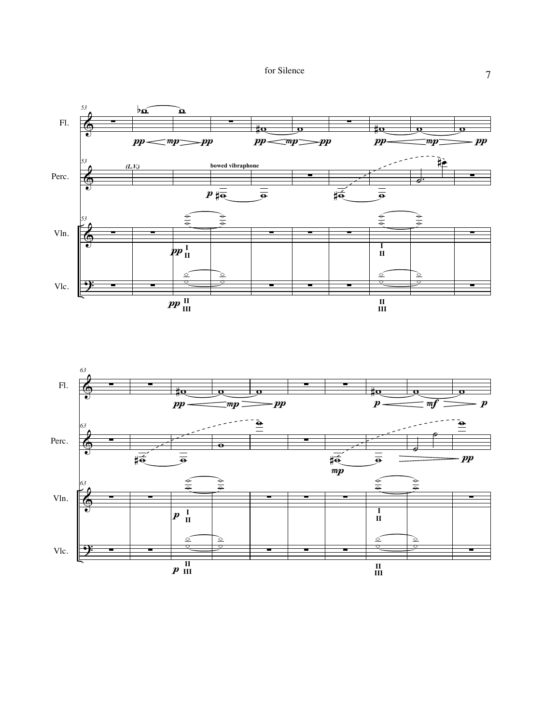

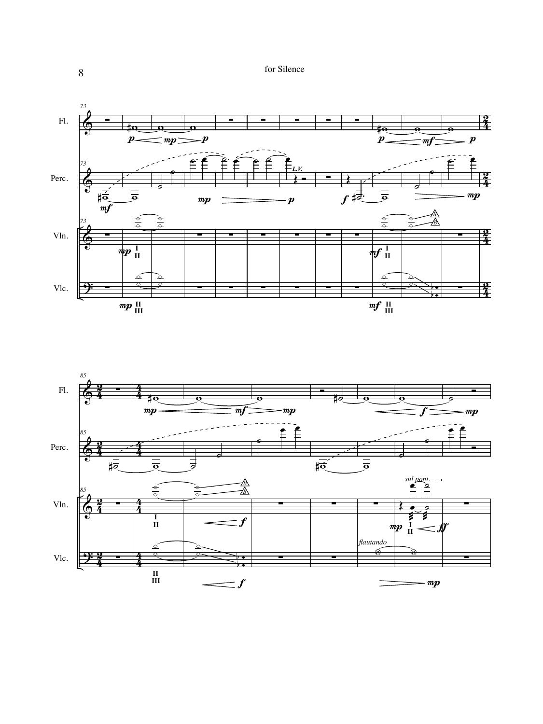

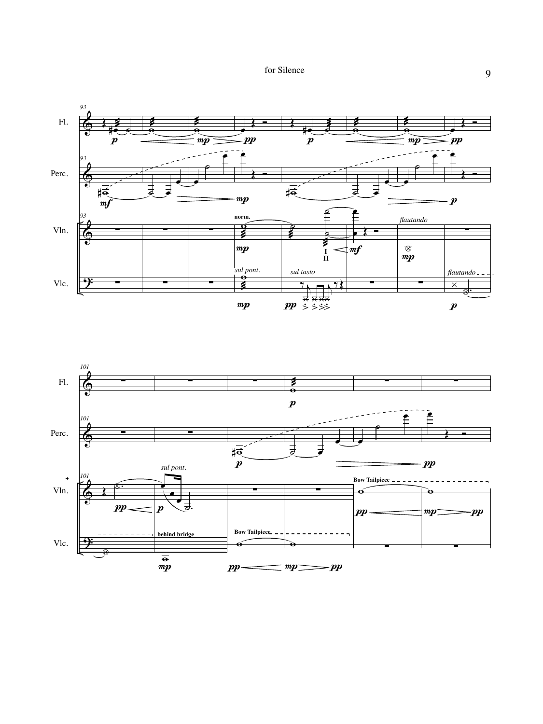